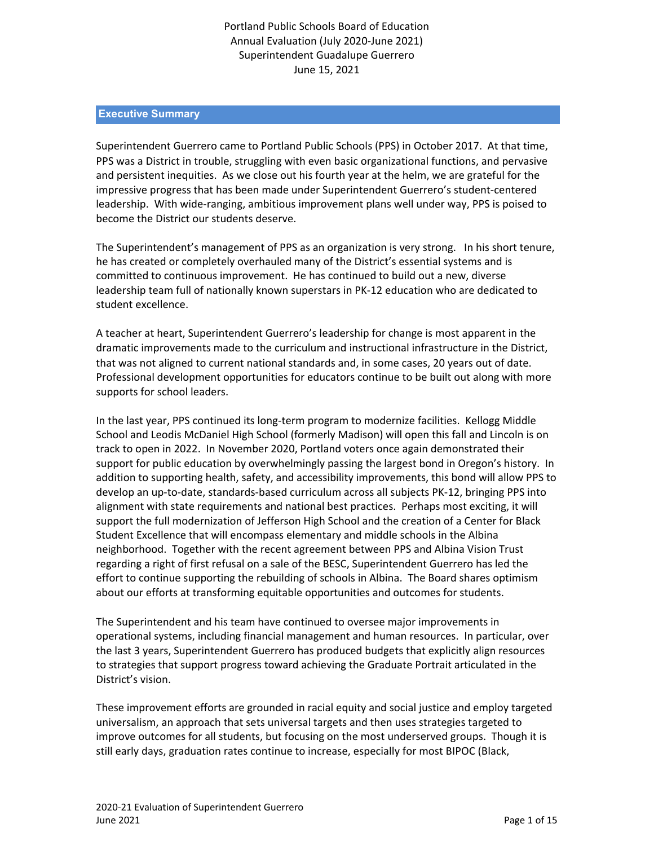# Portland Public Schools Board of Education Annual Evaluation (July 2020-June 2021) Superintendent Guadalupe Guerrero June 15, 2021

### **Executive Summary**

Superintendent Guerrero came to Portland Public Schools (PPS) in October 2017. At that time, PPS was a District in trouble, struggling with even basic organizational functions, and pervasive and persistent inequities. As we close out his fourth year at the helm, we are grateful for the impressive progress that has been made under Superintendent Guerrero's student-centered leadership. With wide-ranging, ambitious improvement plans well under way, PPS is poised to become the District our students deserve.

The Superintendent's management of PPS as an organization is very strong. In his short tenure, he has created or completely overhauled many of the District's essential systems and is committed to continuous improvement. He has continued to build out a new, diverse leadership team full of nationally known superstars in PK-12 education who are dedicated to student excellence.

A teacher at heart, Superintendent Guerrero's leadership for change is most apparent in the dramatic improvements made to the curriculum and instructional infrastructure in the District, that was not aligned to current national standards and, in some cases, 20 years out of date. Professional development opportunities for educators continue to be built out along with more supports for school leaders.

In the last year, PPS continued its long-term program to modernize facilities. Kellogg Middle School and Leodis McDaniel High School (formerly Madison) will open this fall and Lincoln is on track to open in 2022. In November 2020, Portland voters once again demonstrated their support for public education by overwhelmingly passing the largest bond in Oregon's history. In addition to supporting health, safety, and accessibility improvements, this bond will allow PPS to develop an up-to-date, standards-based curriculum across all subjects PK-12, bringing PPS into alignment with state requirements and national best practices. Perhaps most exciting, it will support the full modernization of Jefferson High School and the creation of a Center for Black Student Excellence that will encompass elementary and middle schools in the Albina neighborhood. Together with the recent agreement between PPS and Albina Vision Trust regarding a right of first refusal on a sale of the BESC, Superintendent Guerrero has led the effort to continue supporting the rebuilding of schools in Albina. The Board shares optimism about our efforts at transforming equitable opportunities and outcomes for students.

The Superintendent and his team have continued to oversee major improvements in operational systems, including financial management and human resources. In particular, over the last 3 years, Superintendent Guerrero has produced budgets that explicitly align resources to strategies that support progress toward achieving the Graduate Portrait articulated in the District's vision.

These improvement efforts are grounded in racial equity and social justice and employ targeted universalism, an approach that sets universal targets and then uses strategies targeted to improve outcomes for all students, but focusing on the most underserved groups. Though it is still early days, graduation rates continue to increase, especially for most BIPOC (Black,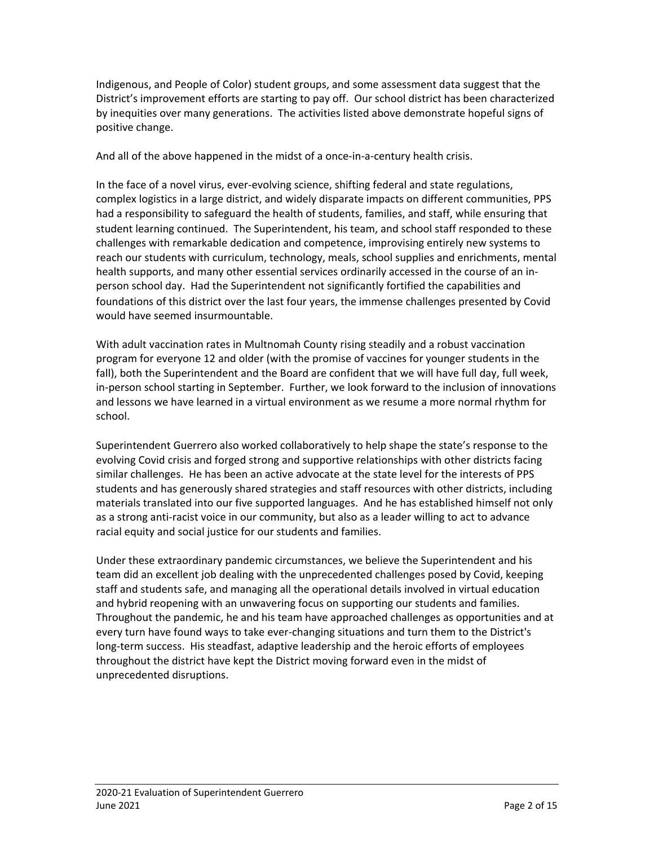Indigenous, and People of Color) student groups, and some assessment data suggest that the District's improvement efforts are starting to pay off. Our school district has been characterized by inequities over many generations. The activities listed above demonstrate hopeful signs of positive change.

And all of the above happened in the midst of a once-in-a-century health crisis.

In the face of a novel virus, ever-evolving science, shifting federal and state regulations, complex logistics in a large district, and widely disparate impacts on different communities, PPS had a responsibility to safeguard the health of students, families, and staff, while ensuring that student learning continued. The Superintendent, his team, and school staff responded to these challenges with remarkable dedication and competence, improvising entirely new systems to reach our students with curriculum, technology, meals, school supplies and enrichments, mental health supports, and many other essential services ordinarily accessed in the course of an inperson school day. Had the Superintendent not significantly fortified the capabilities and foundations of this district over the last four years, the immense challenges presented by Covid would have seemed insurmountable.

With adult vaccination rates in Multnomah County rising steadily and a robust vaccination program for everyone 12 and older (with the promise of vaccines for younger students in the fall), both the Superintendent and the Board are confident that we will have full day, full week, in-person school starting in September. Further, we look forward to the inclusion of innovations and lessons we have learned in a virtual environment as we resume a more normal rhythm for school.

Superintendent Guerrero also worked collaboratively to help shape the state's response to the evolving Covid crisis and forged strong and supportive relationships with other districts facing similar challenges. He has been an active advocate at the state level for the interests of PPS students and has generously shared strategies and staff resources with other districts, including materials translated into our five supported languages. And he has established himself not only as a strong anti-racist voice in our community, but also as a leader willing to act to advance racial equity and social justice for our students and families.

Under these extraordinary pandemic circumstances, we believe the Superintendent and his team did an excellent job dealing with the unprecedented challenges posed by Covid, keeping staff and students safe, and managing all the operational details involved in virtual education and hybrid reopening with an unwavering focus on supporting our students and families. Throughout the pandemic, he and his team have approached challenges as opportunities and at every turn have found ways to take ever-changing situations and turn them to the District's long-term success. His steadfast, adaptive leadership and the heroic efforts of employees throughout the district have kept the District moving forward even in the midst of unprecedented disruptions.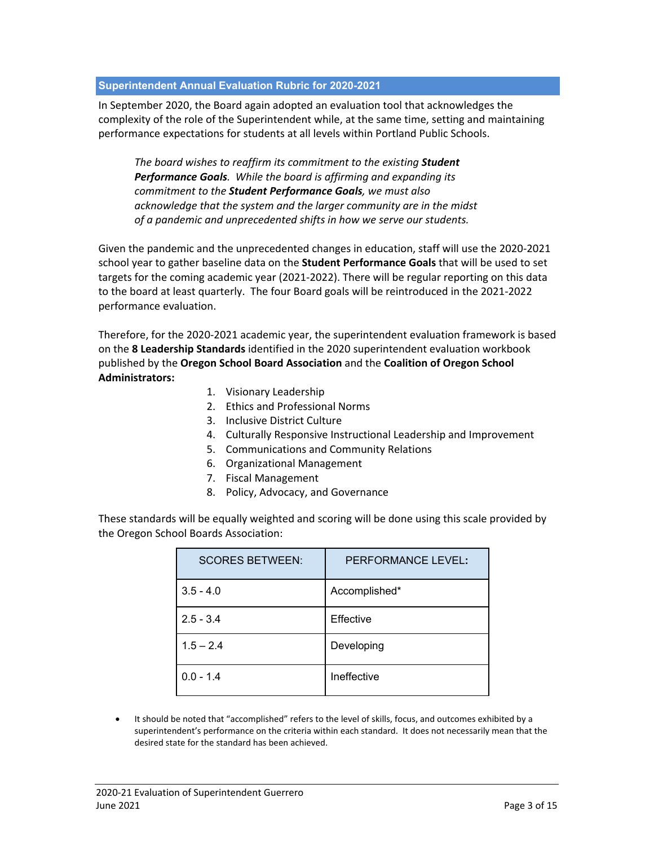### **Superintendent Annual Evaluation Rubric for 2020-2021**

In September 2020, the Board again adopted an evaluation tool that acknowledges the complexity of the role of the Superintendent while, at the same time, setting and maintaining performance expectations for students at all levels within Portland Public Schools.

*The board wishes to reaffirm its commitment to the existing Student Performance Goals. While the board is affirming and expanding its commitment to the Student Performance Goals, we must also acknowledge that the system and the larger community are in the midst of a pandemic and unprecedented shifts in how we serve our students.* 

Given the pandemic and the unprecedented changes in education, staff will use the 2020-2021 school year to gather baseline data on the **Student Performance Goals** that will be used to set targets for the coming academic year (2021-2022). There will be regular reporting on this data to the board at least quarterly. The four Board goals will be reintroduced in the 2021-2022 performance evaluation.

Therefore, for the 2020-2021 academic year, the superintendent evaluation framework is based on the **8 Leadership Standards** identified in the 2020 superintendent evaluation workbook published by the **Oregon School Board Association** and the **Coalition of Oregon School Administrators:**

- 1. Visionary Leadership
- 2. Ethics and Professional Norms
- 3. Inclusive District Culture
- 4. Culturally Responsive Instructional Leadership and Improvement
- 5. Communications and Community Relations
- 6. Organizational Management
- 7. Fiscal Management
- 8. Policy, Advocacy, and Governance

These standards will be equally weighted and scoring will be done using this scale provided by the Oregon School Boards Association:

| <b>SCORES BETWEEN:</b> | PERFORMANCE LEVEL: |
|------------------------|--------------------|
| $3.5 - 4.0$            | Accomplished*      |
| $2.5 - 3.4$            | Effective          |
| $1.5 - 2.4$            | Developing         |
| $0.0 - 1.4$            | Ineffective        |

• It should be noted that "accomplished" refers to the level of skills, focus, and outcomes exhibited by a superintendent's performance on the criteria within each standard. It does not necessarily mean that the desired state for the standard has been achieved.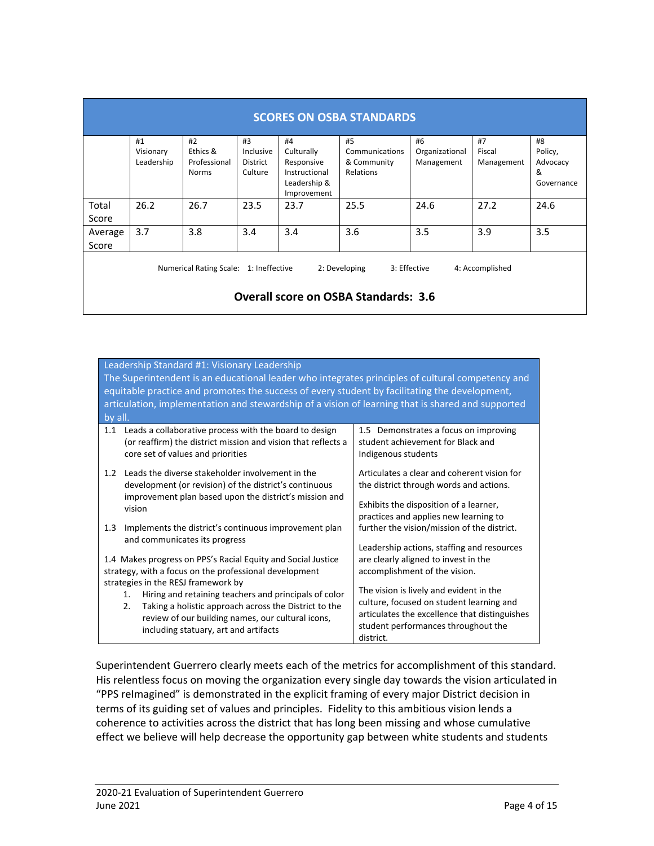| <b>SCORES ON OSBA STANDARDS</b>                                                                                                           |            |              |           |               |                |                |            |            |
|-------------------------------------------------------------------------------------------------------------------------------------------|------------|--------------|-----------|---------------|----------------|----------------|------------|------------|
|                                                                                                                                           | #1         | #2           | #3        | #4            | #5             | #6             | #7         | #8         |
|                                                                                                                                           | Visionary  | Ethics &     | Inclusive | Culturally    | Communications | Organizational | Fiscal     | Policy,    |
|                                                                                                                                           | Leadership | Professional | District  | Responsive    | & Community    | Management     | Management | Advocacy   |
|                                                                                                                                           |            | Norms        | Culture   | Instructional | Relations      |                |            | &          |
|                                                                                                                                           |            |              |           | Leadership &  |                |                |            | Governance |
|                                                                                                                                           |            |              |           | Improvement   |                |                |            |            |
| Total                                                                                                                                     | 26.2       | 26.7         | 23.5      | 23.7          | 25.5           | 24.6           | 27.2       | 24.6       |
| Score                                                                                                                                     |            |              |           |               |                |                |            |            |
| Average                                                                                                                                   | 3.7        | 3.8          | 3.4       | 3.4           | 3.6            | 3.5            | 3.9        | 3.5        |
| Score                                                                                                                                     |            |              |           |               |                |                |            |            |
| 3: Effective<br>Numerical Rating Scale: 1: Ineffective<br>2: Developing<br>4: Accomplished<br><b>Overall score on OSBA Standards: 3.6</b> |            |              |           |               |                |                |            |            |

| Leadership Standard #1: Visionary Leadership<br>The Superintendent is an educational leader who integrates principles of cultural competency and<br>equitable practice and promotes the success of every student by facilitating the development,<br>articulation, implementation and stewardship of a vision of learning that is shared and supported<br>$ $ by all.                     |                                                                                                                                                                                                                                                                   |  |  |
|-------------------------------------------------------------------------------------------------------------------------------------------------------------------------------------------------------------------------------------------------------------------------------------------------------------------------------------------------------------------------------------------|-------------------------------------------------------------------------------------------------------------------------------------------------------------------------------------------------------------------------------------------------------------------|--|--|
| Leads a collaborative process with the board to design<br>1.1<br>(or reaffirm) the district mission and vision that reflects a<br>core set of values and priorities                                                                                                                                                                                                                       | 1.5 Demonstrates a focus on improving<br>student achievement for Black and<br>Indigenous students                                                                                                                                                                 |  |  |
| Leads the diverse stakeholder involvement in the<br>1.2<br>development (or revision) of the district's continuous<br>improvement plan based upon the district's mission and<br>vision                                                                                                                                                                                                     | Articulates a clear and coherent vision for<br>the district through words and actions.<br>Exhibits the disposition of a learner,<br>practices and applies new learning to                                                                                         |  |  |
| Implements the district's continuous improvement plan<br>1.3<br>and communicates its progress                                                                                                                                                                                                                                                                                             | further the vision/mission of the district.<br>Leadership actions, staffing and resources                                                                                                                                                                         |  |  |
| 1.4 Makes progress on PPS's Racial Equity and Social Justice<br>strategy, with a focus on the professional development<br>strategies in the RESJ framework by<br>Hiring and retaining teachers and principals of color<br>1.<br>Taking a holistic approach across the District to the<br>2.<br>review of our building names, our cultural icons,<br>including statuary, art and artifacts | are clearly aligned to invest in the<br>accomplishment of the vision.<br>The vision is lively and evident in the<br>culture, focused on student learning and<br>articulates the excellence that distinguishes<br>student performances throughout the<br>district. |  |  |

Superintendent Guerrero clearly meets each of the metrics for accomplishment of this standard. His relentless focus on moving the organization every single day towards the vision articulated in "PPS reImagined" is demonstrated in the explicit framing of every major District decision in terms of its guiding set of values and principles. Fidelity to this ambitious vision lends a coherence to activities across the district that has long been missing and whose cumulative effect we believe will help decrease the opportunity gap between white students and students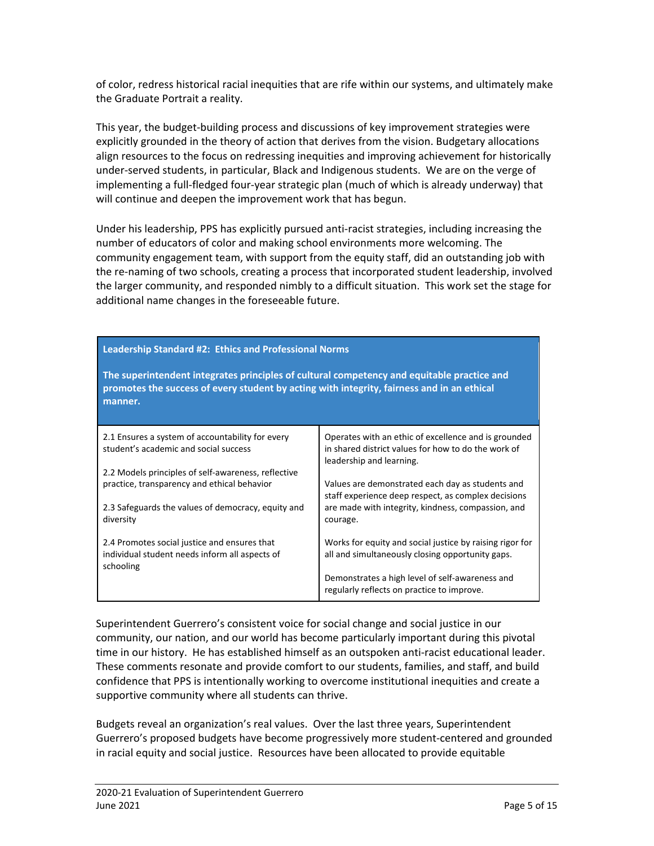of color, redress historical racial inequities that are rife within our systems, and ultimately make the Graduate Portrait a reality.

This year, the budget-building process and discussions of key improvement strategies were explicitly grounded in the theory of action that derives from the vision. Budgetary allocations align resources to the focus on redressing inequities and improving achievement for historically under-served students, in particular, Black and Indigenous students. We are on the verge of implementing a full-fledged four-year strategic plan (much of which is already underway) that will continue and deepen the improvement work that has begun.

Under his leadership, PPS has explicitly pursued anti-racist strategies, including increasing the number of educators of color and making school environments more welcoming. The community engagement team, with support from the equity staff, did an outstanding job with the re-naming of two schools, creating a process that incorporated student leadership, involved the larger community, and responded nimbly to a difficult situation. This work set the stage for additional name changes in the foreseeable future.

| <b>Leadership Standard #2: Ethics and Professional Norms</b>                                                                                                                                        |                                                                                                                                         |  |  |
|-----------------------------------------------------------------------------------------------------------------------------------------------------------------------------------------------------|-----------------------------------------------------------------------------------------------------------------------------------------|--|--|
| The superintendent integrates principles of cultural competency and equitable practice and<br>promotes the success of every student by acting with integrity, fairness and in an ethical<br>manner. |                                                                                                                                         |  |  |
| 2.1 Ensures a system of accountability for every<br>student's academic and social success                                                                                                           | Operates with an ethic of excellence and is grounded<br>in shared district values for how to do the work of<br>leadership and learning. |  |  |
| 2.2 Models principles of self-awareness, reflective<br>practice, transparency and ethical behavior                                                                                                  | Values are demonstrated each day as students and<br>staff experience deep respect, as complex decisions                                 |  |  |
| 2.3 Safeguards the values of democracy, equity and<br>diversity                                                                                                                                     | are made with integrity, kindness, compassion, and<br>courage.                                                                          |  |  |
| 2.4 Promotes social justice and ensures that<br>individual student needs inform all aspects of<br>schooling                                                                                         | Works for equity and social justice by raising rigor for<br>all and simultaneously closing opportunity gaps.                            |  |  |
|                                                                                                                                                                                                     | Demonstrates a high level of self-awareness and<br>regularly reflects on practice to improve.                                           |  |  |

Superintendent Guerrero's consistent voice for social change and social justice in our community, our nation, and our world has become particularly important during this pivotal time in our history. He has established himself as an outspoken anti-racist educational leader. These comments resonate and provide comfort to our students, families, and staff, and build confidence that PPS is intentionally working to overcome institutional inequities and create a supportive community where all students can thrive.

Budgets reveal an organization's real values. Over the last three years, Superintendent Guerrero's proposed budgets have become progressively more student-centered and grounded in racial equity and social justice. Resources have been allocated to provide equitable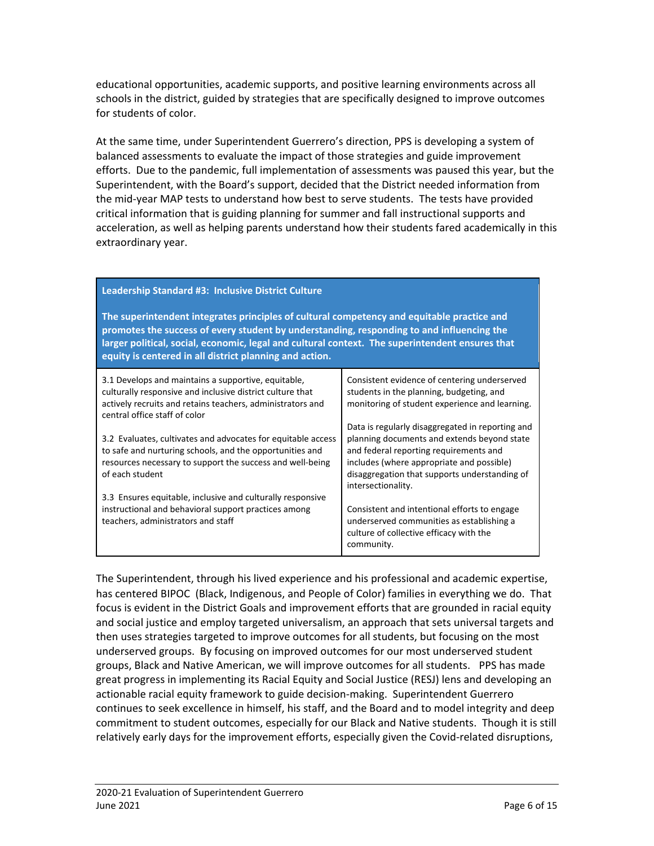educational opportunities, academic supports, and positive learning environments across all schools in the district, guided by strategies that are specifically designed to improve outcomes for students of color.

At the same time, under Superintendent Guerrero's direction, PPS is developing a system of balanced assessments to evaluate the impact of those strategies and guide improvement efforts. Due to the pandemic, full implementation of assessments was paused this year, but the Superintendent, with the Board's support, decided that the District needed information from the mid-year MAP tests to understand how best to serve students. The tests have provided critical information that is guiding planning for summer and fall instructional supports and acceleration, as well as helping parents understand how their students fared academically in this extraordinary year.

| Leadership Standard #3: Inclusive District Culture<br>The superintendent integrates principles of cultural competency and equitable practice and<br>promotes the success of every student by understanding, responding to and influencing the<br>larger political, social, economic, legal and cultural context. The superintendent ensures that<br>equity is centered in all district planning and action.                 |                                                                                                                                                                                                                                                                                                                                                                                                             |
|-----------------------------------------------------------------------------------------------------------------------------------------------------------------------------------------------------------------------------------------------------------------------------------------------------------------------------------------------------------------------------------------------------------------------------|-------------------------------------------------------------------------------------------------------------------------------------------------------------------------------------------------------------------------------------------------------------------------------------------------------------------------------------------------------------------------------------------------------------|
| 3.1 Develops and maintains a supportive, equitable,<br>culturally responsive and inclusive district culture that<br>actively recruits and retains teachers, administrators and<br>central office staff of color<br>3.2 Evaluates, cultivates and advocates for equitable access<br>to safe and nurturing schools, and the opportunities and<br>resources necessary to support the success and well-being<br>of each student | Consistent evidence of centering underserved<br>students in the planning, budgeting, and<br>monitoring of student experience and learning.<br>Data is regularly disaggregated in reporting and<br>planning documents and extends beyond state<br>and federal reporting requirements and<br>includes (where appropriate and possible)<br>disaggregation that supports understanding of<br>intersectionality. |
| 3.3 Ensures equitable, inclusive and culturally responsive<br>instructional and behavioral support practices among<br>teachers, administrators and staff                                                                                                                                                                                                                                                                    | Consistent and intentional efforts to engage<br>underserved communities as establishing a<br>culture of collective efficacy with the<br>community.                                                                                                                                                                                                                                                          |

The Superintendent, through his lived experience and his professional and academic expertise, has centered BIPOC (Black, Indigenous, and People of Color) families in everything we do. That focus is evident in the District Goals and improvement efforts that are grounded in racial equity and social justice and employ targeted universalism, an approach that sets universal targets and then uses strategies targeted to improve outcomes for all students, but focusing on the most underserved groups. By focusing on improved outcomes for our most underserved student groups, Black and Native American, we will improve outcomes for all students. PPS has made great progress in implementing its Racial Equity and Social Justice (RESJ) lens and developing an actionable racial equity framework to guide decision-making. Superintendent Guerrero continues to seek excellence in himself, his staff, and the Board and to model integrity and deep commitment to student outcomes, especially for our Black and Native students. Though it is still relatively early days for the improvement efforts, especially given the Covid-related disruptions,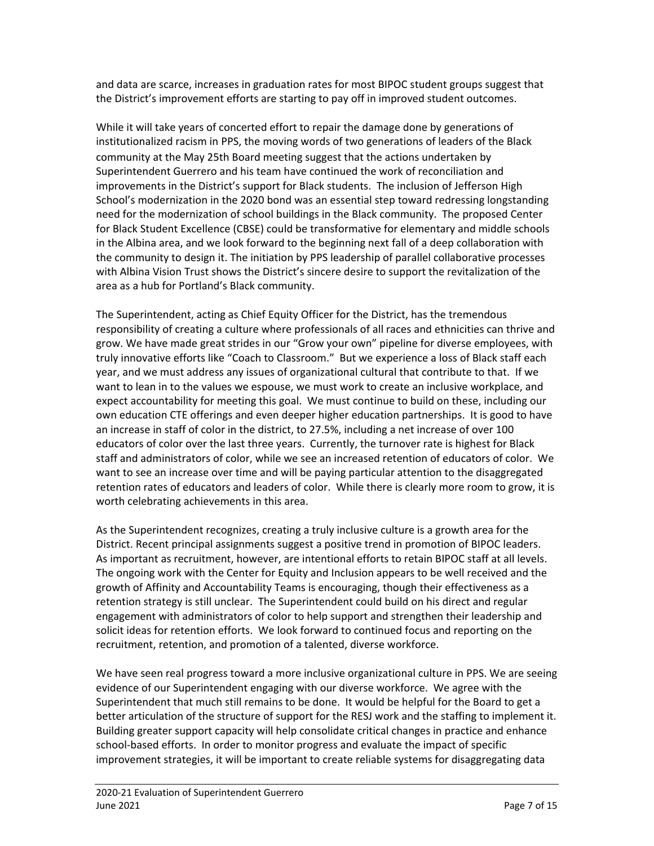and data are scarce, increases in graduation rates for most BIPOC student groups suggest that the District's improvement efforts are starting to pay off in improved student outcomes.

While it will take years of concerted effort to repair the damage done by generations of institutionalized racism in PPS, the moving words of two generations of leaders of the Black community at the May 25th Board meeting suggest that the actions undertaken by Superintendent Guerrero and his team have continued the work of reconciliation and improvements in the District's support for Black students. The inclusion of Jefferson High School's modernization in the 2020 bond was an essential step toward redressing longstanding need for the modernization of school buildings in the Black community. The proposed Center for Black Student Excellence (CBSE) could be transformative for elementary and middle schools in the Albina area, and we look forward to the beginning next fall of a deep collaboration with the community to design it. The initiation by PPS leadership of parallel collaborative processes with Albina Vision Trust shows the District's sincere desire to support the revitalization of the area as a hub for Portland's Black community.

The Superintendent, acting as Chief Equity Officer for the District, has the tremendous responsibility of creating a culture where professionals of all races and ethnicities can thrive and grow. We have made great strides in our "Grow your own" pipeline for diverse employees, with truly innovative efforts like "Coach to Classroom." But we experience a loss of Black staff each year, and we must address any issues of organizational cultural that contribute to that. If we want to lean in to the values we espouse, we must work to create an inclusive workplace, and expect accountability for meeting this goal. We must continue to build on these, including our own education CTE offerings and even deeper higher education partnerships. It is good to have an increase in staff of color in the district, to 27.5%, including a net increase of over 100 educators of color over the last three years. Currently, the turnover rate is highest for Black staff and administrators of color, while we see an increased retention of educators of color. We want to see an increase over time and will be paying particular attention to the disaggregated retention rates of educators and leaders of color. While there is clearly more room to grow, it is worth celebrating achievements in this area.

As the Superintendent recognizes, creating a truly inclusive culture is a growth area for the District. Recent principal assignments suggest a positive trend in promotion of BIPOC leaders. As important as recruitment, however, are intentional efforts to retain BIPOC staff at all levels. The ongoing work with the Center for Equity and Inclusion appears to be well received and the growth of Affinity and Accountability Teams is encouraging, though their effectiveness as a retention strategy is still unclear. The Superintendent could build on his direct and regular engagement with administrators of color to help support and strengthen their leadership and solicit ideas for retention efforts. We look forward to continued focus and reporting on the recruitment, retention, and promotion of a talented, diverse workforce.

We have seen real progress toward a more inclusive organizational culture in PPS. We are seeing evidence of our Superintendent engaging with our diverse workforce. We agree with the Superintendent that much still remains to be done. It would be helpful for the Board to get a better articulation of the structure of support for the RESJ work and the staffing to implement it. Building greater support capacity will help consolidate critical changes in practice and enhance school-based efforts. In order to monitor progress and evaluate the impact of specific improvement strategies, it will be important to create reliable systems for disaggregating data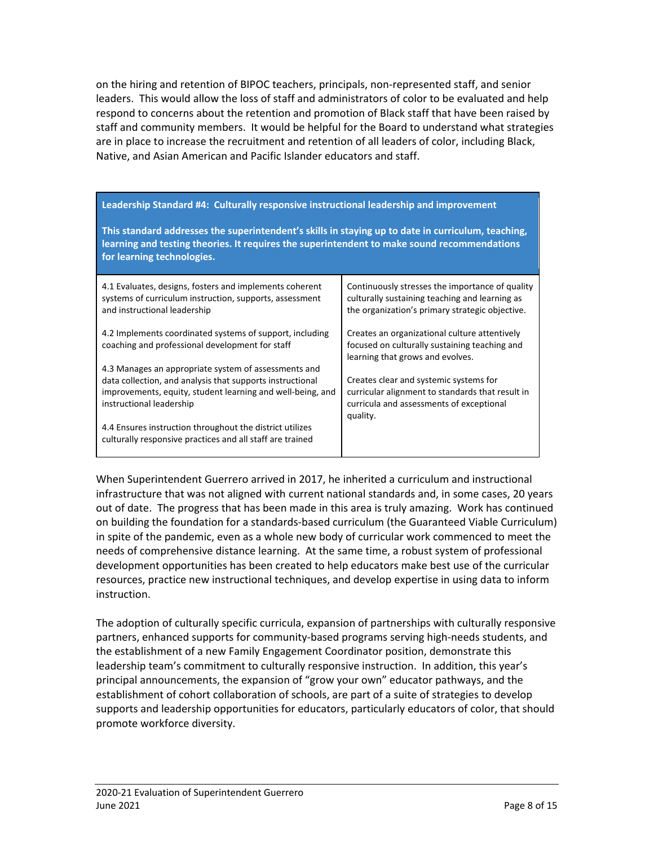on the hiring and retention of BIPOC teachers, principals, non-represented staff, and senior leaders. This would allow the loss of staff and administrators of color to be evaluated and help respond to concerns about the retention and promotion of Black staff that have been raised by staff and community members. It would be helpful for the Board to understand what strategies are in place to increase the recruitment and retention of all leaders of color, including Black, Native, and Asian American and Pacific Islander educators and staff.

## **Leadership Standard #4: Culturally responsive instructional leadership and improvement**

**This standard addresses the superintendent's skills in staying up to date in curriculum, teaching, learning and testing theories. It requires the superintendent to make sound recommendations for learning technologies.** 

| 4.1 Evaluates, designs, fosters and implements coherent                                                               | Continuously stresses the importance of quality                                                                                    |
|-----------------------------------------------------------------------------------------------------------------------|------------------------------------------------------------------------------------------------------------------------------------|
| systems of curriculum instruction, supports, assessment                                                               | culturally sustaining teaching and learning as                                                                                     |
| and instructional leadership                                                                                          | the organization's primary strategic objective.                                                                                    |
| 4.2 Implements coordinated systems of support, including<br>coaching and professional development for staff           | Creates an organizational culture attentively<br>focused on culturally sustaining teaching and<br>learning that grows and evolves. |
| 4.3 Manages an appropriate system of assessments and                                                                  | Creates clear and systemic systems for                                                                                             |
| data collection, and analysis that supports instructional                                                             | curricular alignment to standards that result in                                                                                   |
| improvements, equity, student learning and well-being, and                                                            | curricula and assessments of exceptional                                                                                           |
| instructional leadership                                                                                              | quality.                                                                                                                           |
| 4.4 Ensures instruction throughout the district utilizes<br>culturally responsive practices and all staff are trained |                                                                                                                                    |

When Superintendent Guerrero arrived in 2017, he inherited a curriculum and instructional infrastructure that was not aligned with current national standards and, in some cases, 20 years out of date. The progress that has been made in this area is truly amazing. Work has continued on building the foundation for a standards-based curriculum (the Guaranteed Viable Curriculum) in spite of the pandemic, even as a whole new body of curricular work commenced to meet the needs of comprehensive distance learning. At the same time, a robust system of professional development opportunities has been created to help educators make best use of the curricular resources, practice new instructional techniques, and develop expertise in using data to inform instruction.

The adoption of culturally specific curricula, expansion of partnerships with culturally responsive partners, enhanced supports for community-based programs serving high-needs students, and the establishment of a new Family Engagement Coordinator position, demonstrate this leadership team's commitment to culturally responsive instruction. In addition, this year's principal announcements, the expansion of "grow your own" educator pathways, and the establishment of cohort collaboration of schools, are part of a suite of strategies to develop supports and leadership opportunities for educators, particularly educators of color, that should promote workforce diversity.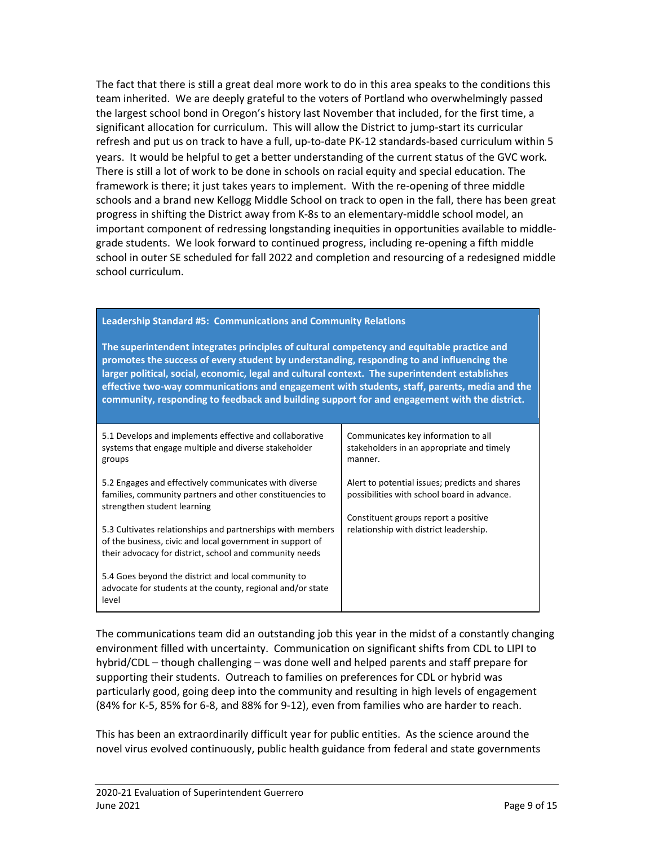The fact that there is still a great deal more work to do in this area speaks to the conditions this team inherited. We are deeply grateful to the voters of Portland who overwhelmingly passed the largest school bond in Oregon's history last November that included, for the first time, a significant allocation for curriculum. This will allow the District to jump-start its curricular refresh and put us on track to have a full, up-to-date PK-12 standards-based curriculum within 5 years. It would be helpful to get a better understanding of the current status of the GVC work. There is still a lot of work to be done in schools on racial equity and special education. The framework is there; it just takes years to implement. With the re-opening of three middle schools and a brand new Kellogg Middle School on track to open in the fall, there has been great progress in shifting the District away from K-8s to an elementary-middle school model, an important component of redressing longstanding inequities in opportunities available to middlegrade students. We look forward to continued progress, including re-opening a fifth middle school in outer SE scheduled for fall 2022 and completion and resourcing of a redesigned middle school curriculum.

#### **Leadership Standard #5: Communications and Community Relations**

**The superintendent integrates principles of cultural competency and equitable practice and promotes the success of every student by understanding, responding to and influencing the larger political, social, economic, legal and cultural context. The superintendent establishes effective two-way communications and engagement with students, staff, parents, media and the community, responding to feedback and building support for and engagement with the district.**

| 5.1 Develops and implements effective and collaborative<br>systems that engage multiple and diverse stakeholder<br>groups                                                          | Communicates key information to all<br>stakeholders in an appropriate and timely<br>manner.   |
|------------------------------------------------------------------------------------------------------------------------------------------------------------------------------------|-----------------------------------------------------------------------------------------------|
| 5.2 Engages and effectively communicates with diverse<br>families, community partners and other constituencies to<br>strengthen student learning                                   | Alert to potential issues; predicts and shares<br>possibilities with school board in advance. |
| 5.3 Cultivates relationships and partnerships with members<br>of the business, civic and local government in support of<br>their advocacy for district, school and community needs | Constituent groups report a positive<br>relationship with district leadership.                |
| 5.4 Goes beyond the district and local community to<br>advocate for students at the county, regional and/or state<br>level                                                         |                                                                                               |

The communications team did an outstanding job this year in the midst of a constantly changing environment filled with uncertainty. Communication on significant shifts from CDL to LIPI to hybrid/CDL – though challenging – was done well and helped parents and staff prepare for supporting their students. Outreach to families on preferences for CDL or hybrid was particularly good, going deep into the community and resulting in high levels of engagement (84% for K-5, 85% for 6-8, and 88% for 9-12), even from families who are harder to reach.

This has been an extraordinarily difficult year for public entities. As the science around the novel virus evolved continuously, public health guidance from federal and state governments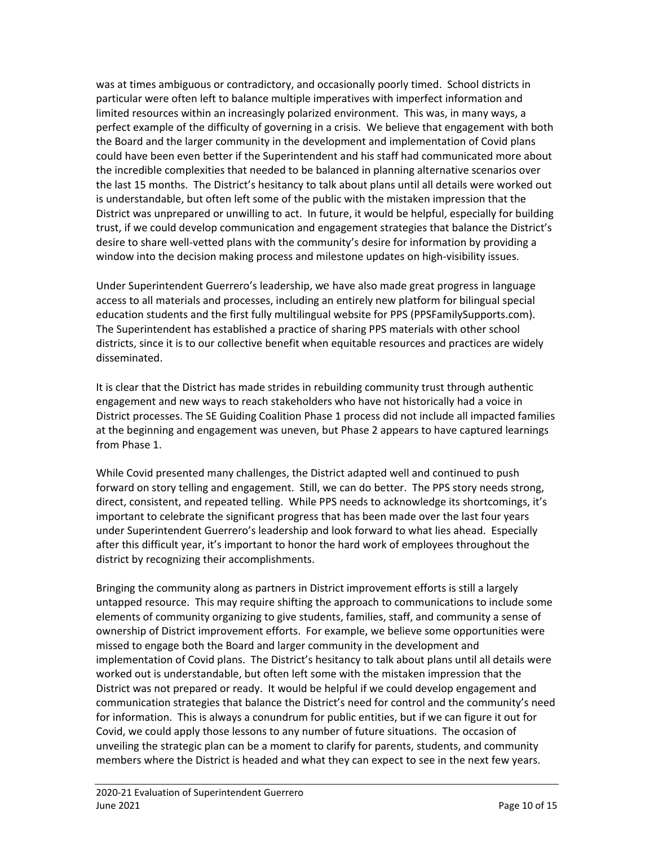was at times ambiguous or contradictory, and occasionally poorly timed. School districts in particular were often left to balance multiple imperatives with imperfect information and limited resources within an increasingly polarized environment. This was, in many ways, a perfect example of the difficulty of governing in a crisis. We believe that engagement with both the Board and the larger community in the development and implementation of Covid plans could have been even better if the Superintendent and his staff had communicated more about the incredible complexities that needed to be balanced in planning alternative scenarios over the last 15 months. The District's hesitancy to talk about plans until all details were worked out is understandable, but often left some of the public with the mistaken impression that the District was unprepared or unwilling to act. In future, it would be helpful, especially for building trust, if we could develop communication and engagement strategies that balance the District's desire to share well-vetted plans with the community's desire for information by providing a window into the decision making process and milestone updates on high-visibility issues.

Under Superintendent Guerrero's leadership, we have also made great progress in language access to all materials and processes, including an entirely new platform for bilingual special education students and the first fully multilingual website for PPS (PPSFamilySupports.com). The Superintendent has established a practice of sharing PPS materials with other school districts, since it is to our collective benefit when equitable resources and practices are widely disseminated.

It is clear that the District has made strides in rebuilding community trust through authentic engagement and new ways to reach stakeholders who have not historically had a voice in District processes. The SE Guiding Coalition Phase 1 process did not include all impacted families at the beginning and engagement was uneven, but Phase 2 appears to have captured learnings from Phase 1.

While Covid presented many challenges, the District adapted well and continued to push forward on story telling and engagement. Still, we can do better. The PPS story needs strong, direct, consistent, and repeated telling. While PPS needs to acknowledge its shortcomings, it's important to celebrate the significant progress that has been made over the last four years under Superintendent Guerrero's leadership and look forward to what lies ahead. Especially after this difficult year, it's important to honor the hard work of employees throughout the district by recognizing their accomplishments.

Bringing the community along as partners in District improvement efforts is still a largely untapped resource. This may require shifting the approach to communications to include some elements of community organizing to give students, families, staff, and community a sense of ownership of District improvement efforts. For example, we believe some opportunities were missed to engage both the Board and larger community in the development and implementation of Covid plans. The District's hesitancy to talk about plans until all details were worked out is understandable, but often left some with the mistaken impression that the District was not prepared or ready. It would be helpful if we could develop engagement and communication strategies that balance the District's need for control and the community's need for information. This is always a conundrum for public entities, but if we can figure it out for Covid, we could apply those lessons to any number of future situations. The occasion of unveiling the strategic plan can be a moment to clarify for parents, students, and community members where the District is headed and what they can expect to see in the next few years.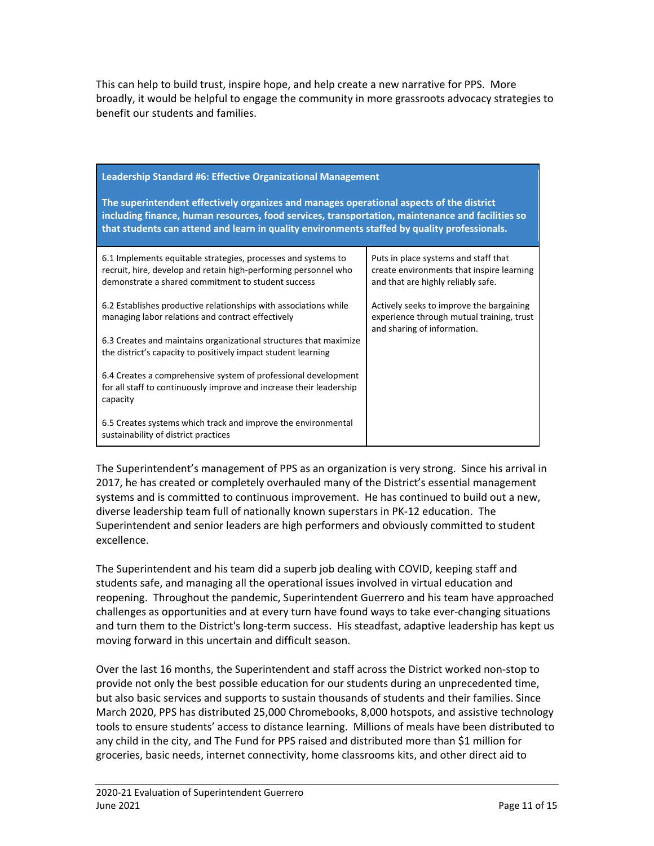This can help to build trust, inspire hope, and help create a new narrative for PPS. More broadly, it would be helpful to engage the community in more grassroots advocacy strategies to benefit our students and families.

| Leadership Standard #6: Effective Organizational Management                                                                                                                                                                                                                                  |                                                                                                                         |  |  |
|----------------------------------------------------------------------------------------------------------------------------------------------------------------------------------------------------------------------------------------------------------------------------------------------|-------------------------------------------------------------------------------------------------------------------------|--|--|
| The superintendent effectively organizes and manages operational aspects of the district<br>including finance, human resources, food services, transportation, maintenance and facilities so<br>that students can attend and learn in quality environments staffed by quality professionals. |                                                                                                                         |  |  |
| 6.1 Implements equitable strategies, processes and systems to<br>recruit, hire, develop and retain high-performing personnel who<br>demonstrate a shared commitment to student success                                                                                                       | Puts in place systems and staff that<br>create environments that inspire learning<br>and that are highly reliably safe. |  |  |
| 6.2 Establishes productive relationships with associations while<br>managing labor relations and contract effectively                                                                                                                                                                        | Actively seeks to improve the bargaining<br>experience through mutual training, trust<br>and sharing of information.    |  |  |
| 6.3 Creates and maintains organizational structures that maximize<br>the district's capacity to positively impact student learning                                                                                                                                                           |                                                                                                                         |  |  |
| 6.4 Creates a comprehensive system of professional development<br>for all staff to continuously improve and increase their leadership<br>capacity                                                                                                                                            |                                                                                                                         |  |  |
| 6.5 Creates systems which track and improve the environmental<br>sustainability of district practices                                                                                                                                                                                        |                                                                                                                         |  |  |

The Superintendent's management of PPS as an organization is very strong. Since his arrival in 2017, he has created or completely overhauled many of the District's essential management systems and is committed to continuous improvement. He has continued to build out a new, diverse leadership team full of nationally known superstars in PK-12 education. The Superintendent and senior leaders are high performers and obviously committed to student excellence.

The Superintendent and his team did a superb job dealing with COVID, keeping staff and students safe, and managing all the operational issues involved in virtual education and reopening. Throughout the pandemic, Superintendent Guerrero and his team have approached challenges as opportunities and at every turn have found ways to take ever-changing situations and turn them to the District's long-term success. His steadfast, adaptive leadership has kept us moving forward in this uncertain and difficult season.

Over the last 16 months, the Superintendent and staff across the District worked non-stop to provide not only the best possible education for our students during an unprecedented time, but also basic services and supports to sustain thousands of students and their families. Since March 2020, PPS has distributed 25,000 Chromebooks, 8,000 hotspots, and assistive technology tools to ensure students' access to distance learning. Millions of meals have been distributed to any child in the city, and The Fund for PPS raised and distributed more than \$1 million for groceries, basic needs, internet connectivity, home classrooms kits, and other direct aid to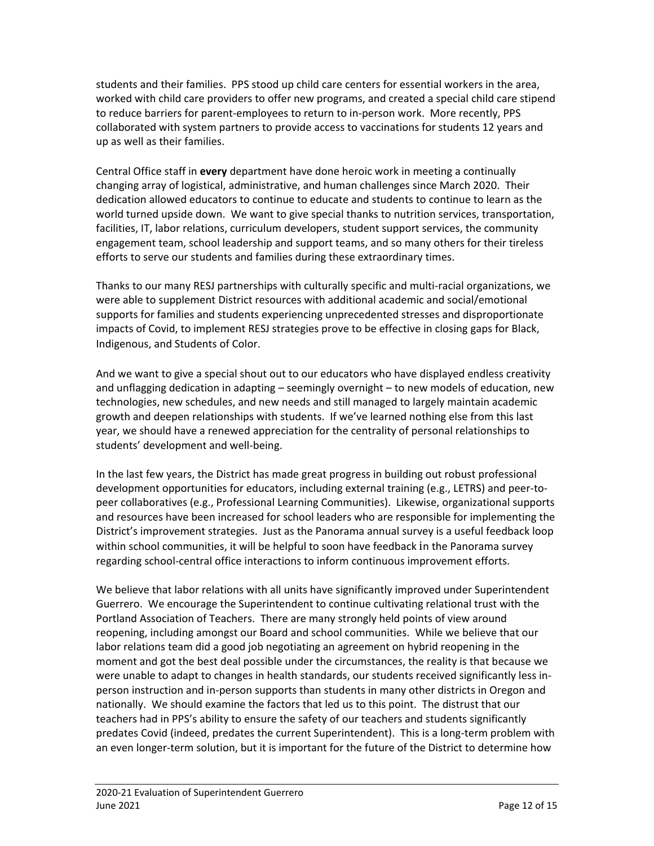students and their families. PPS stood up child care centers for essential workers in the area, worked with child care providers to offer new programs, and created a special child care stipend to reduce barriers for parent-employees to return to in-person work. More recently, PPS collaborated with system partners to provide access to vaccinations for students 12 years and up as well as their families.

Central Office staff in **every** department have done heroic work in meeting a continually changing array of logistical, administrative, and human challenges since March 2020. Their dedication allowed educators to continue to educate and students to continue to learn as the world turned upside down. We want to give special thanks to nutrition services, transportation, facilities, IT, labor relations, curriculum developers, student support services, the community engagement team, school leadership and support teams, and so many others for their tireless efforts to serve our students and families during these extraordinary times.

Thanks to our many RESJ partnerships with culturally specific and multi-racial organizations, we were able to supplement District resources with additional academic and social/emotional supports for families and students experiencing unprecedented stresses and disproportionate impacts of Covid, to implement RESJ strategies prove to be effective in closing gaps for Black, Indigenous, and Students of Color.

And we want to give a special shout out to our educators who have displayed endless creativity and unflagging dedication in adapting – seemingly overnight – to new models of education, new technologies, new schedules, and new needs and still managed to largely maintain academic growth and deepen relationships with students. If we've learned nothing else from this last year, we should have a renewed appreciation for the centrality of personal relationships to students' development and well-being.

In the last few years, the District has made great progress in building out robust professional development opportunities for educators, including external training (e.g., LETRS) and peer-topeer collaboratives (e.g., Professional Learning Communities). Likewise, organizational supports and resources have been increased for school leaders who are responsible for implementing the District's improvement strategies. Just as the Panorama annual survey is a useful feedback loop within school communities, it will be helpful to soon have feedback in the Panorama survey regarding school-central office interactions to inform continuous improvement efforts.

We believe that labor relations with all units have significantly improved under Superintendent Guerrero. We encourage the Superintendent to continue cultivating relational trust with the Portland Association of Teachers. There are many strongly held points of view around reopening, including amongst our Board and school communities. While we believe that our labor relations team did a good job negotiating an agreement on hybrid reopening in the moment and got the best deal possible under the circumstances, the reality is that because we were unable to adapt to changes in health standards, our students received significantly less inperson instruction and in-person supports than students in many other districts in Oregon and nationally. We should examine the factors that led us to this point. The distrust that our teachers had in PPS's ability to ensure the safety of our teachers and students significantly predates Covid (indeed, predates the current Superintendent). This is a long-term problem with an even longer-term solution, but it is important for the future of the District to determine how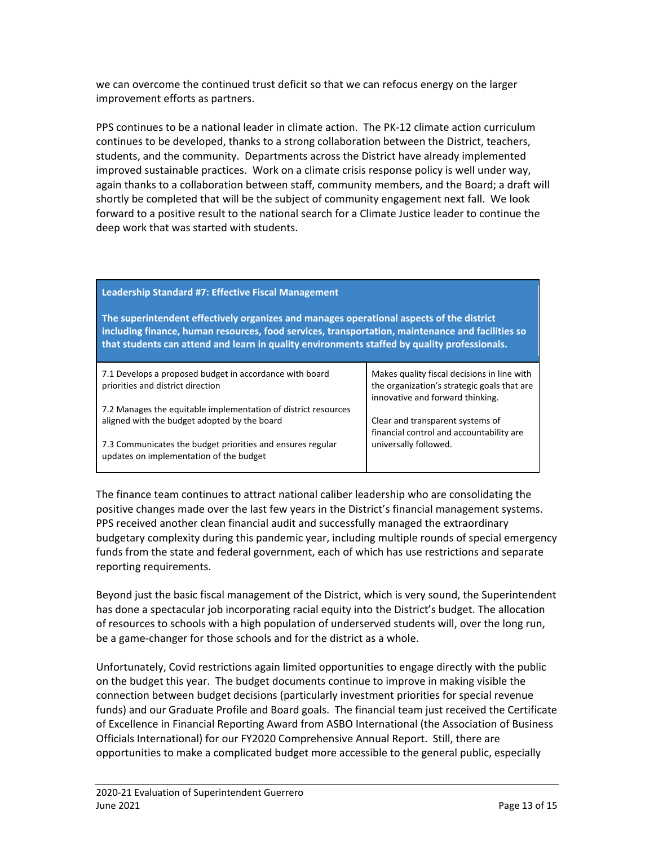we can overcome the continued trust deficit so that we can refocus energy on the larger improvement efforts as partners.

PPS continues to be a national leader in climate action. The PK-12 climate action curriculum continues to be developed, thanks to a strong collaboration between the District, teachers, students, and the community. Departments across the District have already implemented improved sustainable practices. Work on a climate crisis response policy is well under way, again thanks to a collaboration between staff, community members, and the Board; a draft will shortly be completed that will be the subject of community engagement next fall. We look forward to a positive result to the national search for a Climate Justice leader to continue the deep work that was started with students.

| Leadership Standard #7: Effective Fiscal Management                                                                                                                                                                                                                                          |                                                                                                                                |  |  |
|----------------------------------------------------------------------------------------------------------------------------------------------------------------------------------------------------------------------------------------------------------------------------------------------|--------------------------------------------------------------------------------------------------------------------------------|--|--|
| The superintendent effectively organizes and manages operational aspects of the district<br>including finance, human resources, food services, transportation, maintenance and facilities so<br>that students can attend and learn in quality environments staffed by quality professionals. |                                                                                                                                |  |  |
| 7.1 Develops a proposed budget in accordance with board<br>priorities and district direction                                                                                                                                                                                                 | Makes quality fiscal decisions in line with<br>the organization's strategic goals that are<br>innovative and forward thinking. |  |  |
| 7.2 Manages the equitable implementation of district resources                                                                                                                                                                                                                               |                                                                                                                                |  |  |
| aligned with the budget adopted by the board                                                                                                                                                                                                                                                 | Clear and transparent systems of<br>financial control and accountability are                                                   |  |  |
| 7.3 Communicates the budget priorities and ensures regular<br>updates on implementation of the budget                                                                                                                                                                                        | universally followed.                                                                                                          |  |  |

The finance team continues to attract national caliber leadership who are consolidating the positive changes made over the last few years in the District's financial management systems. PPS received another clean financial audit and successfully managed the extraordinary budgetary complexity during this pandemic year, including multiple rounds of special emergency funds from the state and federal government, each of which has use restrictions and separate reporting requirements.

Beyond just the basic fiscal management of the District, which is very sound, the Superintendent has done a spectacular job incorporating racial equity into the District's budget. The allocation of resources to schools with a high population of underserved students will, over the long run, be a game-changer for those schools and for the district as a whole.

Unfortunately, Covid restrictions again limited opportunities to engage directly with the public on the budget this year. The budget documents continue to improve in making visible the connection between budget decisions (particularly investment priorities for special revenue funds) and our Graduate Profile and Board goals. The financial team just received the Certificate of Excellence in Financial Reporting Award from ASBO International (the Association of Business Officials International) for our FY2020 Comprehensive Annual Report. Still, there are opportunities to make a complicated budget more accessible to the general public, especially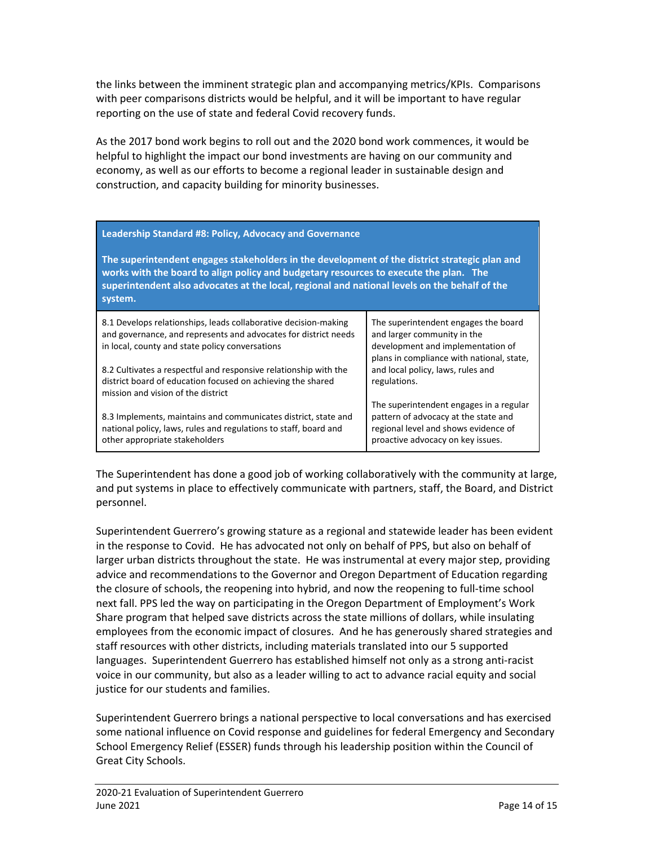the links between the imminent strategic plan and accompanying metrics/KPIs. Comparisons with peer comparisons districts would be helpful, and it will be important to have regular reporting on the use of state and federal Covid recovery funds.

As the 2017 bond work begins to roll out and the 2020 bond work commences, it would be helpful to highlight the impact our bond investments are having on our community and economy, as well as our efforts to become a regional leader in sustainable design and construction, and capacity building for minority businesses.

| Leadership Standard #8: Policy, Advocacy and Governance<br>The superintendent engages stakeholders in the development of the district strategic plan and<br>works with the board to align policy and budgetary resources to execute the plan. The<br>superintendent also advocates at the local, regional and national levels on the behalf of the<br>system. |                                                                                                                                                              |
|---------------------------------------------------------------------------------------------------------------------------------------------------------------------------------------------------------------------------------------------------------------------------------------------------------------------------------------------------------------|--------------------------------------------------------------------------------------------------------------------------------------------------------------|
| 8.1 Develops relationships, leads collaborative decision-making<br>and governance, and represents and advocates for district needs<br>in local, county and state policy conversations                                                                                                                                                                         | The superintendent engages the board<br>and larger community in the<br>development and implementation of<br>plans in compliance with national, state,        |
| 8.2 Cultivates a respectful and responsive relationship with the<br>district board of education focused on achieving the shared<br>mission and vision of the district                                                                                                                                                                                         | and local policy, laws, rules and<br>regulations.                                                                                                            |
| 8.3 Implements, maintains and communicates district, state and<br>national policy, laws, rules and regulations to staff, board and<br>other appropriate stakeholders                                                                                                                                                                                          | The superintendent engages in a regular<br>pattern of advocacy at the state and<br>regional level and shows evidence of<br>proactive advocacy on key issues. |

The Superintendent has done a good job of working collaboratively with the community at large, and put systems in place to effectively communicate with partners, staff, the Board, and District personnel.

Superintendent Guerrero's growing stature as a regional and statewide leader has been evident in the response to Covid. He has advocated not only on behalf of PPS, but also on behalf of larger urban districts throughout the state. He was instrumental at every major step, providing advice and recommendations to the Governor and Oregon Department of Education regarding the closure of schools, the reopening into hybrid, and now the reopening to full-time school next fall. PPS led the way on participating in the Oregon Department of Employment's Work Share program that helped save districts across the state millions of dollars, while insulating employees from the economic impact of closures. And he has generously shared strategies and staff resources with other districts, including materials translated into our 5 supported languages. Superintendent Guerrero has established himself not only as a strong anti-racist voice in our community, but also as a leader willing to act to advance racial equity and social justice for our students and families.

Superintendent Guerrero brings a national perspective to local conversations and has exercised some national influence on Covid response and guidelines for federal Emergency and Secondary School Emergency Relief (ESSER) funds through his leadership position within the Council of Great City Schools.